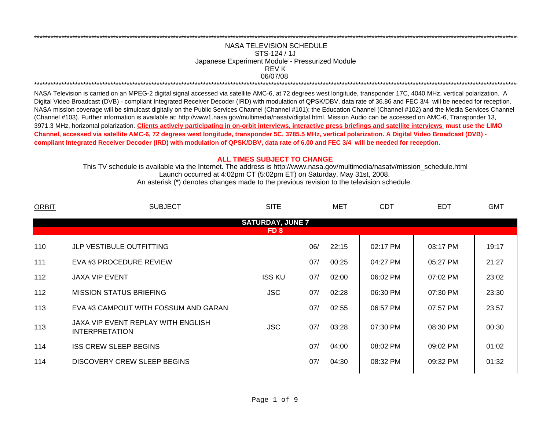## 06/07/08 \*\*\*\*\*\*\*\*\*\*\*\*\*\*\*\*\*\*\*\*\*\*\*\*\*\*\*\*\*\*\*\*\*\*\*\*\*\*\*\*\*\*\*\*\*\*\*\*\*\*\*\*\*\*\*\*\*\*\*\*\*\*\*\*\*\*\*\*\*\*\*\*\*\*\*\*\*\*\*\*\*\*\*\*\*\*\*\*\*\*\*\*\*\*\*\*\*\*\*\*\*\*\*\*\*\*\*\*\*\*\*\*\*\*\*\*\*\*\*\*\*\*\*\*\*\*\*\*\*\*\*\*\*\*\*\*\*\*\*\*\*\*\*\*\*\*\*\*\*\*\*\*\*\*\*\*\*\*\*\*\*\*\*\*\*\*\*\*\*\*\*\*\*\*\*\*\*\*REV KNASA TELEVISION SCHEDULESTS-124 / 1JJapanese Experiment Module - Pressurized Module

\*\*\*\*\*\*\*\*\*\*\*\*\*\*\*\*\*\*\*\*\*\*\*\*\*\*\*\*\*\*\*\*\*\*\*\*\*\*\*\*\*\*\*\*\*\*\*\*\*\*\*\*\*\*\*\*\*\*\*\*\*\*\*\*\*\*\*\*\*\*\*\*\*\*\*\*\*\*\*\*\*\*\*\*\*\*\*\*\*\*\*\*\*\*\*\*\*\*\*\*\*\*\*\*\*\*\*\*\*\*\*\*\*\*\*\*\*\*\*\*\*\*\*\*\*\*\*\*\*\*\*\*\*\*\*\*\*\*\*\*\*\*\*\*\*\*\*\*\*\*\*\*\*\*\*\*\*\*\*\*\*\*\*\*\*\*\*\*\*\*\*\*\*\*\*\*\*\*

NASA Television is carried on an MPEG-2 digital signal accessed via satellite AMC-6, at 72 degrees west longitude, transponder 17C, 4040 MHz, vertical polarization. A Digital Video Broadcast (DVB) - compliant Integrated Receiver Decoder (IRD) with modulation of QPSK/DBV, data rate of 36.86 and FEC 3/4 will be needed for reception. NASA mission coverage will be simulcast digitally on the Public Services Channel (Channel #101); the Education Channel (Channel #102) and the Media Services Channel (Channel #103). Further information is available at: http://www1.nasa.gov/multimedia/nasatv/digital.html. Mission Audio can be accessed on AMC-6, Transponder 13, 3971.3 MHz, horizontal polarization. **Clients actively participating in on-orbit interviews, interactive press briefings and satellite interviews must use the LIMO Channel, accessed via satellite AMC-6, 72 degrees west longitude, transponder 5C, 3785.5 MHz, vertical polarization. A Digital Video Broadcast (DVB) compliant Integrated Receiver Decoder (IRD) with modulation of QPSK/DBV, data rate of 6.00 and FEC 3/4 will be needed for reception.**

## **ALL TIMES SUBJECT TO CHANGE**

Launch occurred at 4:02pm CT (5:02pm ET) on Saturday, May 31st, 2008. This TV schedule is available via the Internet. The address is http://www.nasa.gov/multimedia/nasatv/mission\_schedule.html An asterisk (\*) denotes changes made to the previous revision to the television schedule.

| <b>ORBIT</b>                               | <b>SUBJECT</b>                                              | <b>SITE</b>   |     | <b>MET</b> | <b>CDT</b> | <b>EDT</b> | <b>GMT</b> |  |  |  |  |
|--------------------------------------------|-------------------------------------------------------------|---------------|-----|------------|------------|------------|------------|--|--|--|--|
| <b>SATURDAY, JUNE 7</b><br>FD <sub>8</sub> |                                                             |               |     |            |            |            |            |  |  |  |  |
| 110                                        | <b>JLP VESTIBULE OUTFITTING</b>                             |               |     |            | 02:17 PM   |            |            |  |  |  |  |
|                                            |                                                             |               | 06/ | 22:15      |            | 03:17 PM   | 19:17      |  |  |  |  |
| 111                                        | EVA #3 PROCEDURE REVIEW                                     |               | 07/ | 00:25      | 04:27 PM   | 05:27 PM   | 21:27      |  |  |  |  |
| 112                                        | <b>JAXA VIP EVENT</b>                                       | <b>ISS KU</b> | 07/ | 02:00      | 06:02 PM   | 07:02 PM   | 23:02      |  |  |  |  |
| 112                                        | <b>MISSION STATUS BRIEFING</b>                              | <b>JSC</b>    | 07/ | 02:28      | 06:30 PM   | 07:30 PM   | 23:30      |  |  |  |  |
| 113                                        | EVA #3 CAMPOUT WITH FOSSUM AND GARAN                        |               | 07/ | 02:55      | 06:57 PM   | 07:57 PM   | 23:57      |  |  |  |  |
| 113                                        | JAXA VIP EVENT REPLAY WITH ENGLISH<br><b>INTERPRETATION</b> | <b>JSC</b>    | 07/ | 03:28      | 07:30 PM   | 08:30 PM   | 00:30      |  |  |  |  |
| 114                                        | <b>ISS CREW SLEEP BEGINS</b>                                |               | 07/ | 04:00      | 08:02 PM   | 09:02 PM   | 01:02      |  |  |  |  |
| 114                                        | DISCOVERY CREW SLEEP BEGINS                                 |               | 07/ | 04:30      | 08:32 PM   | 09:32 PM   | 01:32      |  |  |  |  |
|                                            |                                                             |               |     |            |            |            |            |  |  |  |  |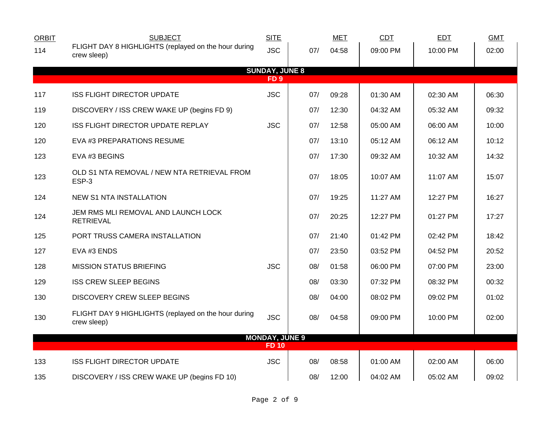| <b>ORBIT</b> | <b>SUBJECT</b>                                                      | <b>SITE</b>           |     | <b>MET</b> | CDT      | <b>EDT</b> | <b>GMT</b> |  |  |  |  |
|--------------|---------------------------------------------------------------------|-----------------------|-----|------------|----------|------------|------------|--|--|--|--|
| 114          | FLIGHT DAY 8 HIGHLIGHTS (replayed on the hour during<br>crew sleep) | <b>JSC</b>            | 07/ | 04:58      | 09:00 PM | 10:00 PM   | 02:00      |  |  |  |  |
|              |                                                                     | <b>SUNDAY, JUNE 8</b> |     |            |          |            |            |  |  |  |  |
|              | FD <sub>9</sub>                                                     |                       |     |            |          |            |            |  |  |  |  |
| 117          | <b>ISS FLIGHT DIRECTOR UPDATE</b>                                   | <b>JSC</b>            | 07/ | 09:28      | 01:30 AM | 02:30 AM   | 06:30      |  |  |  |  |
| 119          | DISCOVERY / ISS CREW WAKE UP (begins FD 9)                          |                       | 07/ | 12:30      | 04:32 AM | 05:32 AM   | 09:32      |  |  |  |  |
| 120          | ISS FLIGHT DIRECTOR UPDATE REPLAY                                   | <b>JSC</b>            | 07/ | 12:58      | 05:00 AM | 06:00 AM   | 10:00      |  |  |  |  |
| 120          | EVA #3 PREPARATIONS RESUME                                          |                       | 07/ | 13:10      | 05:12 AM | 06:12 AM   | 10:12      |  |  |  |  |
| 123          | EVA #3 BEGINS                                                       |                       | 07/ | 17:30      | 09:32 AM | 10:32 AM   | 14:32      |  |  |  |  |
| 123          | OLD S1 NTA REMOVAL / NEW NTA RETRIEVAL FROM<br>ESP-3                |                       | 07/ | 18:05      | 10:07 AM | 11:07 AM   | 15:07      |  |  |  |  |
| 124          | <b>NEW S1 NTA INSTALLATION</b>                                      |                       | 07/ | 19:25      | 11:27 AM | 12:27 PM   | 16:27      |  |  |  |  |
| 124          | JEM RMS MLI REMOVAL AND LAUNCH LOCK<br><b>RETRIEVAL</b>             |                       | 07/ | 20:25      | 12:27 PM | 01:27 PM   | 17:27      |  |  |  |  |
| 125          | PORT TRUSS CAMERA INSTALLATION                                      |                       | 07/ | 21:40      | 01:42 PM | 02:42 PM   | 18:42      |  |  |  |  |
| 127          | EVA #3 ENDS                                                         |                       | 07/ | 23:50      | 03:52 PM | 04:52 PM   | 20:52      |  |  |  |  |
| 128          | <b>MISSION STATUS BRIEFING</b>                                      | <b>JSC</b>            | 08/ | 01:58      | 06:00 PM | 07:00 PM   | 23:00      |  |  |  |  |
| 129          | <b>ISS CREW SLEEP BEGINS</b>                                        |                       | 08/ | 03:30      | 07:32 PM | 08:32 PM   | 00:32      |  |  |  |  |
| 130          | <b>DISCOVERY CREW SLEEP BEGINS</b>                                  |                       | 08/ | 04:00      | 08:02 PM | 09:02 PM   | 01:02      |  |  |  |  |
| 130          | FLIGHT DAY 9 HIGHLIGHTS (replayed on the hour during<br>crew sleep) | <b>JSC</b>            | 08/ | 04:58      | 09:00 PM | 10:00 PM   | 02:00      |  |  |  |  |
|              |                                                                     | <b>MONDAY, JUNE 9</b> |     |            |          |            |            |  |  |  |  |
|              |                                                                     | <b>FD10</b>           |     |            |          |            |            |  |  |  |  |
| 133          | <b>ISS FLIGHT DIRECTOR UPDATE</b>                                   | <b>JSC</b>            | 08/ | 08:58      | 01:00 AM | 02:00 AM   | 06:00      |  |  |  |  |
| 135          | DISCOVERY / ISS CREW WAKE UP (begins FD 10)                         |                       | 08/ | 12:00      | 04:02 AM | 05:02 AM   | 09:02      |  |  |  |  |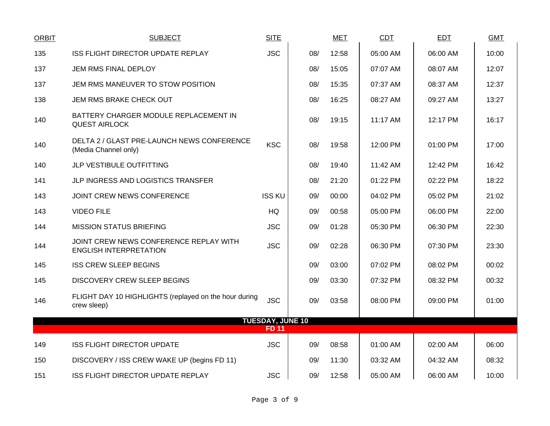| <b>ORBIT</b> | <b>SUBJECT</b>                                                          | <b>SITE</b>             |     | <b>MET</b> | CDT      | <b>EDT</b> | <b>GMT</b> |
|--------------|-------------------------------------------------------------------------|-------------------------|-----|------------|----------|------------|------------|
| 135          | ISS FLIGHT DIRECTOR UPDATE REPLAY                                       | <b>JSC</b>              | 08/ | 12:58      | 05:00 AM | 06:00 AM   | 10:00      |
| 137          | JEM RMS FINAL DEPLOY                                                    |                         | 08/ | 15:05      | 07:07 AM | 08:07 AM   | 12:07      |
| 137          | JEM RMS MANEUVER TO STOW POSITION                                       |                         | 08/ | 15:35      | 07:37 AM | 08:37 AM   | 12:37      |
| 138          | JEM RMS BRAKE CHECK OUT                                                 |                         | 08/ | 16:25      | 08:27 AM | 09:27 AM   | 13:27      |
| 140          | BATTERY CHARGER MODULE REPLACEMENT IN<br><b>QUEST AIRLOCK</b>           |                         | 08/ | 19:15      | 11:17 AM | 12:17 PM   | 16:17      |
| 140          | DELTA 2 / GLAST PRE-LAUNCH NEWS CONFERENCE<br>(Media Channel only)      | <b>KSC</b>              | 08/ | 19:58      | 12:00 PM | $01:00$ PM | 17:00      |
| 140          | JLP VESTIBULE OUTFITTING                                                |                         | 08/ | 19:40      | 11:42 AM | 12:42 PM   | 16:42      |
| 141          | JLP INGRESS AND LOGISTICS TRANSFER                                      |                         | 08/ | 21:20      | 01:22 PM | 02:22 PM   | 18:22      |
| 143          | JOINT CREW NEWS CONFERENCE                                              | <b>ISS KU</b>           | 09/ | 00:00      | 04:02 PM | 05:02 PM   | 21:02      |
| 143          | <b>VIDEO FILE</b>                                                       | <b>HQ</b>               | 09/ | 00:58      | 05:00 PM | 06:00 PM   | 22:00      |
| 144          | <b>MISSION STATUS BRIEFING</b>                                          | <b>JSC</b>              | 09/ | 01:28      | 05:30 PM | 06:30 PM   | 22:30      |
| 144          | JOINT CREW NEWS CONFERENCE REPLAY WITH<br><b>ENGLISH INTERPRETATION</b> | <b>JSC</b>              | 09/ | 02:28      | 06:30 PM | 07:30 PM   | 23:30      |
| 145          | <b>ISS CREW SLEEP BEGINS</b>                                            |                         | 09/ | 03:00      | 07:02 PM | 08:02 PM   | 00:02      |
| 145          | <b>DISCOVERY CREW SLEEP BEGINS</b>                                      |                         | 09/ | 03:30      | 07:32 PM | 08:32 PM   | 00:32      |
| 146          | FLIGHT DAY 10 HIGHLIGHTS (replayed on the hour during<br>crew sleep)    | <b>JSC</b>              | 09/ | 03:58      | 08:00 PM | 09:00 PM   | 01:00      |
|              |                                                                         | <b>TUESDAY, JUNE 10</b> |     |            |          |            |            |
|              |                                                                         | <b>FD 11</b>            |     |            |          |            |            |
| 149          | <b>ISS FLIGHT DIRECTOR UPDATE</b>                                       | <b>JSC</b>              | 09/ | 08:58      | 01:00 AM | 02:00 AM   | 06:00      |
| 150          | DISCOVERY / ISS CREW WAKE UP (begins FD 11)                             |                         | 09/ | 11:30      | 03:32 AM | 04:32 AM   | 08:32      |
| 151          | ISS FLIGHT DIRECTOR UPDATE REPLAY                                       | <b>JSC</b>              | 09/ | 12:58      | 05:00 AM | 06:00 AM   | 10:00      |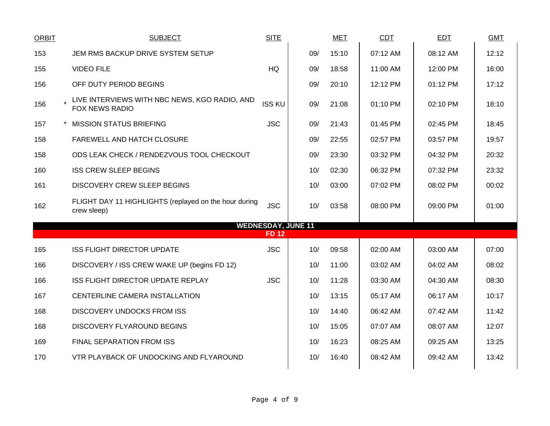| <b>ORBIT</b> | <b>SUBJECT</b>                                                         | <b>SITE</b>   |                           | <b>MET</b> | CDT      | EDT      | <b>GMT</b> |
|--------------|------------------------------------------------------------------------|---------------|---------------------------|------------|----------|----------|------------|
| 153          | JEM RMS BACKUP DRIVE SYSTEM SETUP                                      |               | 09/                       | 15:10      | 07:12 AM | 08:12 AM | 12:12      |
| 155          | <b>VIDEO FILE</b>                                                      | HQ            | 09/                       | 18:58      | 11:00 AM | 12:00 PM | 16:00      |
| 156          | OFF DUTY PERIOD BEGINS                                                 |               | 09/                       | 20:10      | 12:12 PM | 01:12 PM | 17:12      |
| 156          | LIVE INTERVIEWS WITH NBC NEWS, KGO RADIO, AND<br><b>FOX NEWS RADIO</b> | <b>ISS KU</b> | 09/                       | 21:08      | 01:10 PM | 02:10 PM | 18:10      |
| 157          | <b>MISSION STATUS BRIEFING</b>                                         | <b>JSC</b>    | 09/                       | 21:43      | 01:45 PM | 02:45 PM | 18:45      |
| 158          | FAREWELL AND HATCH CLOSURE                                             |               | 09/                       | 22:55      | 02:57 PM | 03:57 PM | 19:57      |
| 158          | ODS LEAK CHECK / RENDEZVOUS TOOL CHECKOUT                              |               | 09/                       | 23:30      | 03:32 PM | 04:32 PM | 20:32      |
| 160          | <b>ISS CREW SLEEP BEGINS</b>                                           |               | 10/                       | 02:30      | 06:32 PM | 07:32 PM | 23:32      |
| 161          | <b>DISCOVERY CREW SLEEP BEGINS</b>                                     |               | 10/                       | 03:00      | 07:02 PM | 08:02 PM | 00:02      |
| 162          | FLIGHT DAY 11 HIGHLIGHTS (replayed on the hour during<br>crew sleep)   | <b>JSC</b>    | 10/                       | 03:58      | 08:00 PM | 09:00 PM | 01:00      |
|              |                                                                        | <b>FD12</b>   | <b>WEDNESDAY, JUNE 11</b> |            |          |          |            |
| 165          | <b>ISS FLIGHT DIRECTOR UPDATE</b>                                      | <b>JSC</b>    | 10/                       | 09:58      | 02:00 AM | 03:00 AM | 07:00      |
| 166          | DISCOVERY / ISS CREW WAKE UP (begins FD 12)                            |               | 10/                       | 11:00      | 03:02 AM | 04:02 AM | 08:02      |
| 166          | <b>ISS FLIGHT DIRECTOR UPDATE REPLAY</b>                               | <b>JSC</b>    | 10/                       | 11:28      | 03:30 AM | 04:30 AM | 08:30      |
| 167          | CENTERLINE CAMERA INSTALLATION                                         |               | 10/                       | 13:15      | 05:17 AM | 06:17 AM | 10:17      |
| 168          | <b>DISCOVERY UNDOCKS FROM ISS</b>                                      |               | 10/                       | 14:40      | 06:42 AM | 07:42 AM | 11:42      |
| 168          | DISCOVERY FLYAROUND BEGINS                                             |               | 10/                       | 15:05      | 07:07 AM | 08:07 AM | 12:07      |
| 169          | FINAL SEPARATION FROM ISS                                              |               | 10/                       | 16:23      | 08:25 AM | 09:25 AM | 13:25      |
| 170          | VTR PLAYBACK OF UNDOCKING AND FLYAROUND                                |               | 10/                       | 16:40      | 08:42 AM | 09:42 AM | 13:42      |
|              |                                                                        |               |                           |            |          |          |            |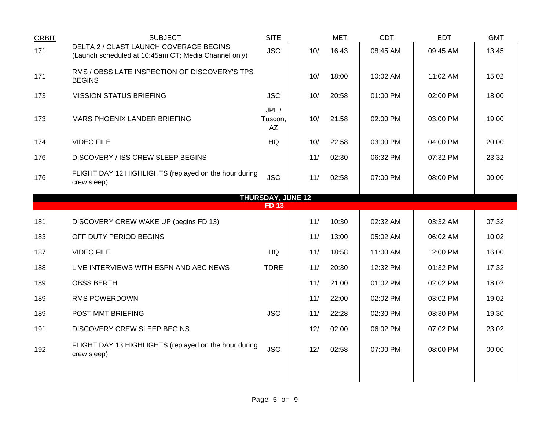| <b>ORBIT</b> | <b>SUBJECT</b>                                                                                 | <b>SITE</b>              |     | <b>MET</b> | <b>CDT</b> | <b>EDT</b> | <b>GMT</b> |
|--------------|------------------------------------------------------------------------------------------------|--------------------------|-----|------------|------------|------------|------------|
| 171          | DELTA 2 / GLAST LAUNCH COVERAGE BEGINS<br>(Launch scheduled at 10:45am CT; Media Channel only) | <b>JSC</b>               | 10/ | 16:43      | 08:45 AM   | 09:45 AM   | 13:45      |
| 171          | RMS / OBSS LATE INSPECTION OF DISCOVERY'S TPS<br><b>BEGINS</b>                                 |                          | 10/ | 18:00      | 10:02 AM   | 11:02 AM   | 15:02      |
| 173          | <b>MISSION STATUS BRIEFING</b>                                                                 | <b>JSC</b>               | 10/ | 20:58      | 01:00 PM   | 02:00 PM   | 18:00      |
| 173          | MARS PHOENIX LANDER BRIEFING                                                                   | JPL/<br>Tuscon,<br>AZ    | 10/ | 21:58      | 02:00 PM   | 03:00 PM   | 19:00      |
| 174          | <b>VIDEO FILE</b>                                                                              | <b>HQ</b>                | 10/ | 22:58      | 03:00 PM   | 04:00 PM   | 20:00      |
| 176          | <b>DISCOVERY / ISS CREW SLEEP BEGINS</b>                                                       |                          | 11/ | 02:30      | 06:32 PM   | 07:32 PM   | 23:32      |
| 176          | FLIGHT DAY 12 HIGHLIGHTS (replayed on the hour during<br>crew sleep)                           | <b>JSC</b>               | 11/ | 02:58      | 07:00 PM   | 08:00 PM   | 00:00      |
|              |                                                                                                | <b>THURSDAY, JUNE 12</b> |     |            |            |            |            |
|              |                                                                                                | <b>FD13</b>              |     |            |            |            |            |
| 181          | DISCOVERY CREW WAKE UP (begins FD 13)                                                          |                          | 11/ | 10:30      | 02:32 AM   | 03:32 AM   | 07:32      |
| 183          | OFF DUTY PERIOD BEGINS                                                                         |                          | 11/ | 13:00      | 05:02 AM   | 06:02 AM   | 10:02      |
| 187          | <b>VIDEO FILE</b>                                                                              | HQ                       | 11/ | 18:58      | 11:00 AM   | 12:00 PM   | 16:00      |
| 188          | LIVE INTERVIEWS WITH ESPN AND ABC NEWS                                                         | <b>TDRE</b>              | 11/ | 20:30      | 12:32 PM   | 01:32 PM   | 17:32      |
| 189          | <b>OBSS BERTH</b>                                                                              |                          | 11/ | 21:00      | 01:02 PM   | 02:02 PM   | 18:02      |
| 189          | RMS POWERDOWN                                                                                  |                          | 11/ | 22:00      | 02:02 PM   | 03:02 PM   | 19:02      |
| 189          | POST MMT BRIEFING                                                                              | <b>JSC</b>               | 11/ | 22:28      | 02:30 PM   | 03:30 PM   | 19:30      |
| 191          | <b>DISCOVERY CREW SLEEP BEGINS</b>                                                             |                          | 12/ | 02:00      | 06:02 PM   | 07:02 PM   | 23:02      |
| 192          | FLIGHT DAY 13 HIGHLIGHTS (replayed on the hour during<br>crew sleep)                           | <b>JSC</b>               | 12/ | 02:58      | 07:00 PM   | 08:00 PM   | 00:00      |
|              |                                                                                                |                          |     |            |            |            |            |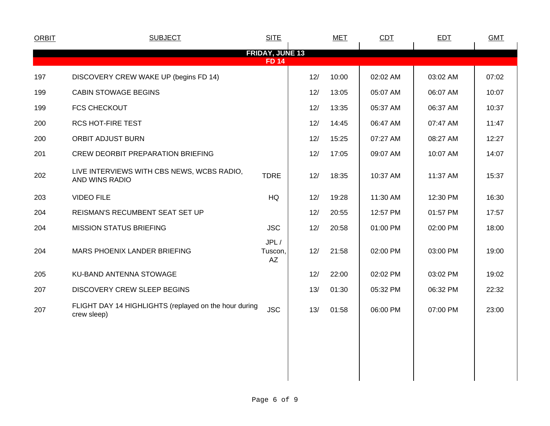| <b>ORBIT</b> | <b>SUBJECT</b>                                                       | <b>SITE</b>                            |     | <b>MET</b> | CDT      | <b>EDT</b> | <b>GMT</b> |
|--------------|----------------------------------------------------------------------|----------------------------------------|-----|------------|----------|------------|------------|
|              |                                                                      | <b>FRIDAY, JUNE 13</b><br><b>FD 14</b> |     |            |          |            |            |
| 197          | DISCOVERY CREW WAKE UP (begins FD 14)                                |                                        | 12/ | 10:00      | 02:02 AM | 03:02 AM   | 07:02      |
| 199          | <b>CABIN STOWAGE BEGINS</b>                                          |                                        | 12/ | 13:05      | 05:07 AM | 06:07 AM   | 10:07      |
| 199          | <b>FCS CHECKOUT</b>                                                  |                                        | 12/ | 13:35      | 05:37 AM | 06:37 AM   | 10:37      |
| 200          | RCS HOT-FIRE TEST                                                    |                                        | 12/ | 14:45      | 06:47 AM | 07:47 AM   | 11:47      |
| 200          | <b>ORBIT ADJUST BURN</b>                                             |                                        | 12/ | 15:25      | 07:27 AM | 08:27 AM   | 12:27      |
| 201          | CREW DEORBIT PREPARATION BRIEFING                                    |                                        | 12/ | 17:05      | 09:07 AM | 10:07 AM   | 14:07      |
| 202          | LIVE INTERVIEWS WITH CBS NEWS, WCBS RADIO,<br>AND WINS RADIO         | <b>TDRE</b>                            | 12/ | 18:35      | 10:37 AM | 11:37 AM   | 15:37      |
| 203          | <b>VIDEO FILE</b>                                                    | HQ                                     | 12/ | 19:28      | 11:30 AM | 12:30 PM   | 16:30      |
| 204          | REISMAN'S RECUMBENT SEAT SET UP                                      |                                        | 12/ | 20:55      | 12:57 PM | 01:57 PM   | 17:57      |
| 204          | <b>MISSION STATUS BRIEFING</b>                                       | <b>JSC</b>                             | 12/ | 20:58      | 01:00 PM | 02:00 PM   | 18:00      |
| 204          | MARS PHOENIX LANDER BRIEFING                                         | JPL/<br>Tuscon,<br>AZ                  | 12/ | 21:58      | 02:00 PM | 03:00 PM   | 19:00      |
| 205          | KU-BAND ANTENNA STOWAGE                                              |                                        | 12/ | 22:00      | 02:02 PM | 03:02 PM   | 19:02      |
| 207          | DISCOVERY CREW SLEEP BEGINS                                          |                                        | 13/ | 01:30      | 05:32 PM | 06:32 PM   | 22:32      |
| 207          | FLIGHT DAY 14 HIGHLIGHTS (replayed on the hour during<br>crew sleep) | <b>JSC</b>                             | 13/ | 01:58      | 06:00 PM | 07:00 PM   | 23:00      |
|              |                                                                      |                                        |     |            |          |            |            |
|              |                                                                      |                                        |     |            |          |            |            |
|              |                                                                      |                                        |     |            |          |            |            |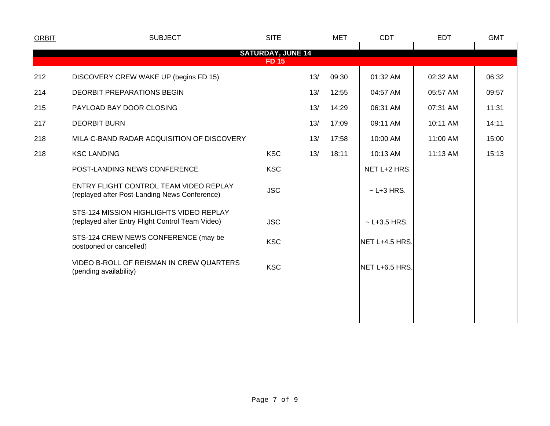| <b>ORBIT</b> | <b>SUBJECT</b>                                                                              | <b>SITE</b>                              |     | <b>MET</b> | CDT              | <b>EDT</b> | <b>GMT</b> |  |
|--------------|---------------------------------------------------------------------------------------------|------------------------------------------|-----|------------|------------------|------------|------------|--|
|              |                                                                                             | <b>SATURDAY, JUNE 14</b><br><b>FD 15</b> |     |            |                  |            |            |  |
| 212          | DISCOVERY CREW WAKE UP (begins FD 15)                                                       |                                          | 13/ | 09:30      | 01:32 AM         | 02:32 AM   | 06:32      |  |
| 214          | <b>DEORBIT PREPARATIONS BEGIN</b>                                                           |                                          | 13/ | 12:55      | 04:57 AM         | 05:57 AM   | 09:57      |  |
| 215          | PAYLOAD BAY DOOR CLOSING                                                                    |                                          | 13/ | 14:29      | 06:31 AM         | 07:31 AM   | 11:31      |  |
| 217          | <b>DEORBIT BURN</b>                                                                         |                                          | 13/ | 17:09      | 09:11 AM         | 10:11 AM   | 14:11      |  |
| 218          | MILA C-BAND RADAR ACQUISITION OF DISCOVERY                                                  |                                          | 13/ | 17:58      | 10:00 AM         | 11:00 AM   | 15:00      |  |
| 218          | <b>KSC LANDING</b>                                                                          | <b>KSC</b>                               | 13/ | 18:11      | 10:13 AM         | 11:13 AM   | 15:13      |  |
|              | POST-LANDING NEWS CONFERENCE                                                                | <b>KSC</b>                               |     |            | NET L+2 HRS.     |            |            |  |
|              | ENTRY FLIGHT CONTROL TEAM VIDEO REPLAY<br>(replayed after Post-Landing News Conference)     | <b>JSC</b>                               |     |            | $\sim$ L+3 HRS.  |            |            |  |
|              | STS-124 MISSION HIGHLIGHTS VIDEO REPLAY<br>(replayed after Entry Flight Control Team Video) | <b>JSC</b>                               |     |            | $~$ - L+3.5 HRS. |            |            |  |
|              | STS-124 CREW NEWS CONFERENCE (may be<br>postponed or cancelled)                             | <b>KSC</b>                               |     |            | NET L+4.5 HRS.   |            |            |  |
|              | VIDEO B-ROLL OF REISMAN IN CREW QUARTERS<br>(pending availability)                          | <b>KSC</b>                               |     |            | NET L+6.5 HRS.   |            |            |  |
|              |                                                                                             |                                          |     |            |                  |            |            |  |
|              |                                                                                             |                                          |     |            |                  |            |            |  |
|              |                                                                                             |                                          |     |            |                  |            |            |  |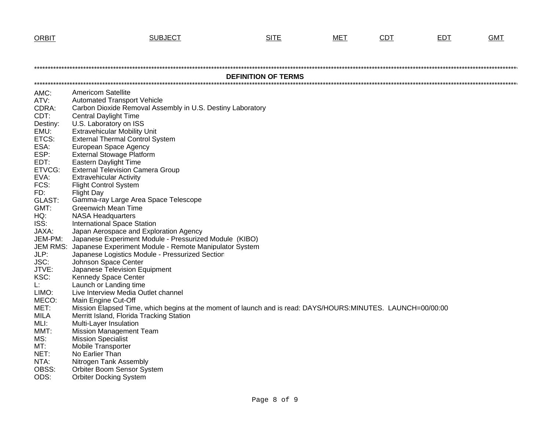**ORBIT** 

| <b>ORBIT</b>    | <u>SUBJECT</u>                                                                                              | <u>SITE</u>                | MET | <u>CDT</u> | <u>EDT</u> | <u>GMT</u> |
|-----------------|-------------------------------------------------------------------------------------------------------------|----------------------------|-----|------------|------------|------------|
|                 |                                                                                                             |                            |     |            |            |            |
|                 |                                                                                                             |                            |     |            |            |            |
|                 |                                                                                                             |                            |     |            |            |            |
|                 |                                                                                                             |                            |     |            |            |            |
|                 |                                                                                                             | <b>DEFINITION OF TERMS</b> |     |            |            |            |
|                 |                                                                                                             |                            |     |            |            |            |
| AMC:            | <b>Americom Satellite</b>                                                                                   |                            |     |            |            |            |
| ATV:            | <b>Automated Transport Vehicle</b>                                                                          |                            |     |            |            |            |
| CDRA:           | Carbon Dioxide Removal Assembly in U.S. Destiny Laboratory                                                  |                            |     |            |            |            |
| CDT:            | <b>Central Daylight Time</b>                                                                                |                            |     |            |            |            |
| Destiny:        | U.S. Laboratory on ISS                                                                                      |                            |     |            |            |            |
| EMU:            | <b>Extravehicular Mobility Unit</b>                                                                         |                            |     |            |            |            |
| ETCS:           | <b>External Thermal Control System</b>                                                                      |                            |     |            |            |            |
| ESA:            | European Space Agency                                                                                       |                            |     |            |            |            |
| ESP:            | <b>External Stowage Platform</b>                                                                            |                            |     |            |            |            |
| EDT:            | Eastern Daylight Time                                                                                       |                            |     |            |            |            |
| ETVCG:          | <b>External Television Camera Group</b>                                                                     |                            |     |            |            |            |
| EVA:            | <b>Extravehicular Activity</b>                                                                              |                            |     |            |            |            |
| FCS:            | <b>Flight Control System</b>                                                                                |                            |     |            |            |            |
| FD:             | <b>Flight Day</b><br>Gamma-ray Large Area Space Telescope                                                   |                            |     |            |            |            |
| GLAST:          |                                                                                                             |                            |     |            |            |            |
| GMT:            | <b>Greenwich Mean Time</b>                                                                                  |                            |     |            |            |            |
| HQ:<br>ISS:     | <b>NASA Headquarters</b>                                                                                    |                            |     |            |            |            |
| JAXA:           | <b>International Space Station</b>                                                                          |                            |     |            |            |            |
| JEM-PM:         | Japan Aerospace and Exploration Agency<br>Japanese Experiment Module - Pressurized Module (KIBO)            |                            |     |            |            |            |
| <b>JEM RMS:</b> | Japanese Experiment Module - Remote Manipulator System                                                      |                            |     |            |            |            |
| JLP:            | Japanese Logistics Module - Pressurized Section                                                             |                            |     |            |            |            |
| JSC:            | Johnson Space Center                                                                                        |                            |     |            |            |            |
| JTVE:           | Japanese Television Equipment                                                                               |                            |     |            |            |            |
| KSC:            | Kennedy Space Center                                                                                        |                            |     |            |            |            |
| Ŀ.              | Launch or Landing time                                                                                      |                            |     |            |            |            |
| LIMO:           | Live Interview Media Outlet channel                                                                         |                            |     |            |            |            |
| MECO:           | Main Engine Cut-Off                                                                                         |                            |     |            |            |            |
| MET:            | Mission Elapsed Time, which begins at the moment of launch and is read: DAYS/HOURS:MINUTES. LAUNCH=00/00:00 |                            |     |            |            |            |
| <b>MILA</b>     | Merritt Island, Florida Tracking Station                                                                    |                            |     |            |            |            |
| MLI:            | Multi-Layer Insulation                                                                                      |                            |     |            |            |            |
| MMT:            | <b>Mission Management Team</b>                                                                              |                            |     |            |            |            |
| MS:             | <b>Mission Specialist</b>                                                                                   |                            |     |            |            |            |
| MT:             | <b>Mobile Transporter</b>                                                                                   |                            |     |            |            |            |
| NET:            | No Earlier Than                                                                                             |                            |     |            |            |            |
| NTA:            | Nitrogen Tank Assembly                                                                                      |                            |     |            |            |            |
| OBSS:           | Orbiter Boom Sensor System                                                                                  |                            |     |            |            |            |
| ODS:            | <b>Orbiter Docking System</b>                                                                               |                            |     |            |            |            |